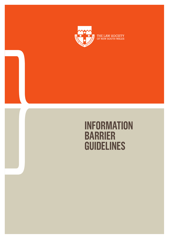

THE LAW SOCIETY<br>OF NEW SOUTH WALES

# **INFORMATION BARRIER GUIDELINES**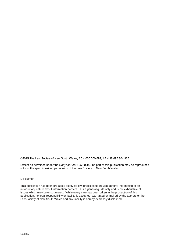©2015 The Law Society of New South Wales, ACN 000 000 699, ABN 98 696 304 966.

Except as permitted under the *Copyright Act 1968* (Cth), no part of this publication may be reproduced without the specific written permission of the Law Society of New South Wales.

#### Disclaimer

This publication has been produced solely for law practices to provide general information of an introductory nature about information barriers. It is a general guide only and is not exhaustive of issues which may be encountered. While every care has been taken in the production of this publication, no legal responsibility or liability is accepted, warranted or implied by the authors or the Law Society of New South Wales and any liability is hereby expressly disclaimed.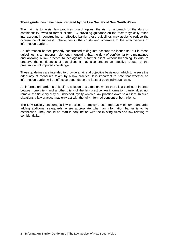#### **These guidelines have been prepared by the Law Society of New South Wales**

Their aim is to assist law practices guard against the risk of a breach of the duty of confidentiality owed to former clients. By providing guidance on the factors typically taken into account in constructing an effective barrier these guidelines may assist to reduce the occurrence of successful challenges in the courts and otherwise to the effectiveness of information barriers.

An information barrier, properly constructed taking into account the issues set out in these guidelines, is an important element in ensuring that the duty of confidentiality is maintained and allowing a law practice to act against a former client without breaching its duty to preserve the confidences of that client. It may also present an effective rebuttal of the presumption of imputed knowledge.

These guidelines are intended to provide a fair and objective basis upon which to assess the adequacy of measures taken by a law practice. It is important to note that whether an information barrier will be effective depends on the facts of each individual case.

An information barrier is of itself no solution to a situation where there is a conflict of interest between one client and another client of the law practice. An information barrier does not remove the fiduciary duty of undivided loyalty which a law practice owes to a client. In such situations a law practice may only act with the fully informed consent of both clients.

The Law Society encourages law practices to employ these steps as minimum standards, adding additional safeguards where appropriate when an information barrier is to be established. They should be read in conjunction with the existing rules and law relating to confidentiality.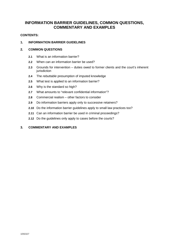# **INFORMATION BARRIER GUIDELINES, COMMON QUESTIONS, COMMENTARY AND EXAMPLES**

# **CONTENTS:**

# **1. INFORMATION BARRIER GUIDELINES**

# **2. COMMON QUESTIONS**

- **2.1** What is an information barrier?
- **2.2** When can an information barrier be used?
- **2.3** Grounds for intervention duties owed to former clients and the court's inherent jurisdiction
- **2.4** The *rebuttable* presumption of imputed knowledge
- **2.5** What test is applied to an information barrier?
- **2.6** Why is the standard so high?
- **2.7** What amounts to "relevant confidential information"?
- **2.8** Commercial realism other factors to consider
- **2.9** Do information barriers apply only to successive retainers?
- **2.10** Do the information barrier guidelines apply to small law practices too?
- **2.11** Can an information barrier be used in criminal proceedings?
- **2.12** Do the guidelines only apply to cases before the courts?

# **3. COMMENTARY AND EXAMPLES**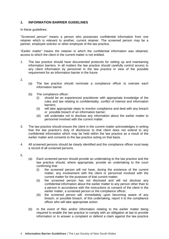# **1. INFORMATION BARRIER GUIDELINES**

In these guidelines:

*"Screened person"* means a person who possesses confidential information from one retainer which is relevant to another, current retainer. The screened person may be a partner, employee solicitor or other employee of the law practice.

*"Earlier matter"* means the retainer in which the confidential information was obtained, access to which the client in the current matter is not entitled.

- 1. The law practice should have documented protocols for setting up and maintaining information barriers. In all matters the law practice should carefully control access to any client information by personnel in the law practice in view of the possible requirement for an information barrier in the future.
- 2.
- (a) The law practice should nominate a compliance officer to oversee each information barrier.
- (b) The compliance officer:
	- (i) should be an experienced practitioner with appropriate knowledge of the rules and law relating to confidentiality, conflict of interest and information barriers;
	- (ii) will take appropriate steps to monitor compliance and deal with any breach or possible breach of an information barrier;
	- (iii) will undertake not to disclose any information about the earlier matter to personnel involved with the current matter.
- 3. The law practice should ensure the client in the current matter acknowledges in writing that the law practice's duty of disclosure to that client does not extend to any confidential information which may be held within the law practice as a result of the earlier matter and consents to the law practice acting on that basis.
- 4. All screened persons should be clearly identified and the compliance officer must keep a record of all screened persons.
- 5.
- (a) Each screened person should provide an undertaking to the law practice and the law practice should, where appropriate, provide an undertaking to the court confirming that:
	- (i) the screened person will not have, during the existence of the current matter, any involvement with the client or personnel involved with the current matter for the purposes of that current matter;
	- (ii) the screened person has not disclosed and will not disclose any confidential information about the earlier matter to any person other than to a person in accordance with the instructions or consent of the client in the earlier matter, a screened person or the compliance officer;
	- (iii) the screened person will, immediately upon becoming aware of any breach, or possible breach, of this undertaking, report it to the compliance officer who will take appropriate action.
- (b) In the event of files and/or information relating to the earlier matter being required to enable the law practice to comply with an obligation at law to provide information or to answer a complaint or defend a claim against the law practice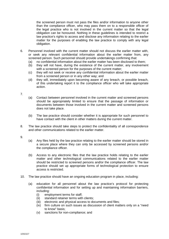the screened person must not pass the files and/or information to anyone other than the compliance officer, who may pass them on to a responsible officer of the legal practice who is not involved in the current matter so that the legal obligation can be honoured. Nothing in these guidelines is intended to restrict a law practice's rights to access and disclose any information relating to the earlier matter for the purposes of enabling the law practice to comply with any legal obligation.

- 6. Personnel involved with the current matter should not discuss the earlier matter with, or seek any relevant confidential information about the earlier matter from, any screened person. Such personnel should provide undertakings confirming that:
	- (a) no confidential information about the earlier matter has been disclosed to them;
	- (b) they will not have, during the existence of the current matter, any involvement with a screened person for the purposes of the current matter;
	- (c) they will not seek or receive any confidential information about the earlier matter from a screened person or in any other way; and
	- (d) they will, immediately upon becoming aware of any breach, or possible breach, of this undertaking report it to the compliance officer who will take appropriate action.
- 7.
- (a) Contact between personnel involved in the current matter and screened persons should be appropriately limited to ensure that the passage of information or documents between those involved in the current matter and screened persons does not take place.
- (b) The law practice should consider whether it is appropriate for such personnel to have contact with the client in other matters during the current matter.
- 8. The law practice should take steps to protect the confidentiality of all correspondence and other communications related to the earlier matter.
- 9.
- (a) Any files held by the law practice relating to the earlier matter should be stored in a secure place where they can only be accessed by screened persons and/or the compliance officer.
- (b) Access to any electronic files that the law practice holds relating to the earlier matter and other technological communications related to the earlier matter should be restricted to screened persons and/or the compliance officer. The law practice should set up appropriate forms of technological protection to ensure access is restricted.
- 10. The law practice should have an ongoing education program in place, including:
	- (a) education for all personnel about the law practice's protocol for protecting confidential information and for setting up and maintaining information barriers, including:
		- (i) employment terms for staff;
		- (ii) standard retainer terms with clients;
		- (iii) electronic and physical access to documents and files;
		- (iv) firm culture on such issues as discussion of client matters only on a "need to know" basis;
		- (v) sanctions for non-compliance; and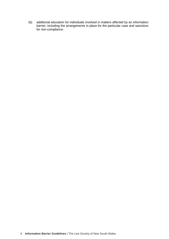(b) additional education for individuals involved in matters affected by an information barrier, including the arrangements in place for the particular case and sanctions for non-compliance.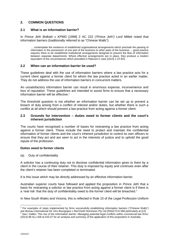# **2. COMMON QUESTIONS**

# **2.1 What is an information barrier?**

In *Prince Jefri Bolkiah v KPMG* [1999] 2 AC 222 *('Prince Jefri')* Lord Millett noted that information barriers (traditionally referred to as "Chinese Walls"):

… contemplate the existence of established organisational arrangements which preclude the passing of information in the possession of one part of the business to other parts of the business ... good practice requires there to be established institutional arrangements designed to prevent the flow of information between separate departments. Where effective arrangements are in place, they produce a modern equivalent of the circumstances which prevailed in *Rakusen's* case [1912] 1 Ch 831*.*

#### **2.2 When can an information barrier be used?**

These guidelines deal with the use of information barriers where a law practice acts for a current client against a former client for whom the law practice acted in an earlier matter. They do not address the use of information barriers in concurrent matters.

An unsatisfactory information barrier can result in enormous expense, inconvenience and loss of reputation. These guidelines are intended to assist firms to ensure that a necessary information barrier will be effective.<sup>1</sup>

The threshold question is not whether an information barrier can be set up to prevent a breach of duty arising from a conflict of interest and/or duties, but whether there is such a conflict at all which should prevent a law practice from acting against a former client.

### **2.3 Grounds for intervention – duties owed to former clients and the court's inherent jurisdiction**

The courts have recognised a number of bases for restraining a law practice from acting against a former client. These include the need to protect and maintain the confidential information of former clients and the court's inherent jurisdiction to control its own officers to ensure that they act and are seen to act in the interests of justice and to uphold the good repute of the profession.

#### **Duties owed to former clients**

(a) Duty of confidentiality

A solicitor has a continuing duty not to disclose confidential information given to them by a client in the course of their retainer. This duty is imposed by equity and continues even after the client's retainer has been completed or terminated.

It is this issue which may be directly addressed by an effective information barrier.

Australian superior courts have followed and applied the proposition in *Prince Jefri* that a basis for restraining a solicitor or law practice from acting against a former client is if there is a 'real risk' that the duty of confidentiality owed to the former client will be breached.<sup>2</sup>

In New South Wales and Victoria, this is reflected in Rule 10 of the *Legal Profession Uniform*

 $1$  For examples of steps implemented by firms successfully establishing information barriers ("Chinese Walls") see *Bureau International De Vins Bourgogne v Red Earth Nominees Pty Ltd* [2002] FCA 588 particularly at [12].<br><sup>2</sup> See LDellen 'The rise of the infermation berrier: Meneging patential local conflicts within commercial low See I Dallen *'The rise of the information barrier: Managing potential legal conflicts within commercial law firms'* (2014) 88 ALJ 428 at 433-37 for an analysis and summary of the application of this proposition in Australia*.*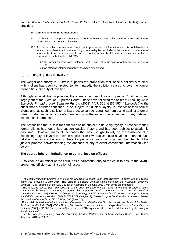Law Australian Solicitors Conduct Rules 2015 (Uniform Solicitors Conduct Rules)<sup>3</sup> which provides:

#### **10. Conflicts concerning former clients**

- 10.1 A solicitor and law practice must avoid conflicts between the duties owed to current and former clients, except as permitted by Rule 10.2.
- 10.2 A solicitor or law practice who or which is in possession of information which is confidential to a former client where that information might reasonably be concluded to be material to the matter of another client and detrimental to the interests of the former client if disclosed, must not act for the current client in that matter UNLESS:
	- 10.2.1 the former client has given informed written consent to the solicitor or law practice so acting; or
	- 10.2.2 an effective information barrier has been established.
- (b) An ongoing "duty of loyalty"?

The weight of authority in Australia supports the proposition that, once a solicitor's retainer with a client has been completed (or terminated), the solicitor ceases to owe the former client a fiduciary duty of loyalty.<sup>4</sup>

Although, against this proposition, there are a number of state Supreme Court decisions, largely out of the Victorian Supreme Court. These have followed the obiter of Brooking JA in *Spincode Pty Ltd v Look Software Pty Ltd* (2001) 4 VR 501 at [52]-[57] (*'Spincode'*) to the effect that a solicitor continues to be subject to fiduciary loyalty in respect of their former clients and, as such, a solicitor or law practice can be restrained from acting against a former client in *the same or a related matter*<sup>5</sup> notwithstanding the absence of any relevant confidential information.

The proposition that a solicitor continues to be subject to fiduciary loyalty in respect of their former clients has found little support outside Victoria and has been subject to academic criticism<sup>6</sup>. However, many of the cases that have sought to rely on the existence of a continuing duty of loyalty to restrain a solicitor or law practice could have also founded such relief on the basis of the court's inherent supervisory jurisdiction to protect the integrity of the judicial process notwithstanding the absence of any relevant confidential information (see below).

#### **The court's inherent jurisdiction to control its own officers**

A solicitor, as an officer of the court, has a paramount duty to the court to ensure the lawful, proper and efficient administration of justice.

<sup>&</sup>lt;sup>3</sup> The *Legal Profession Uniform Law Australian Solicitors Conduct Rules 2015* (Uniform Solicitors Conduct Rules) came into effect on 1 July 2015. The Uniform Solicitors Conduct Rules comprise the *Australian Solicitors' Conduct Rules* (adopted by the Law Council of Australia on 18 June 2011), with some amendments. 4 The following cases, post *Spincode Pty Ltd v Look Software Pty Ltd* (2001) 4 VR 501, provide a useful

summary of the weight of authority supporting this proposition: *British American Tobacco Australia Services Limited v Blanch* [2004] NSWSC 70 (Young CJ in Equity); *Kallinicos v Hunt* [2005] NSWSC 1181 (Brereton J); *Ismail-Zai v Western Australia* (2007) 34 WAR 379 (Steytler P); *Dealer Support Services Pty Ltd v Motor Trades Association of Australia Ltd* [2014] FCA 1065 (Beach J). 5 For a brief discussion of what constitutes *"the same or a related matter"* in this context, see *Sent v John Fairfax*

*Publications Pty Ltd* [2002] VSC 429 at [108] (Nettle J). Also note that in *Village Roadshow v Blake Dawson Waldron* [2003] VSC 505 Byrne J at [43] observed that "This question should not be determined by the taking of fine distinctions".<br><sup>6</sup> See M Ceneal

See M Conaglen, *Fiduciary Loyalty: Protecting the Due Performance of Non-Fiduciary Duties* (Hart, United Kingdom, 2010) at 193-95.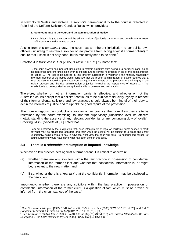In New South Wales and Victoria, a solicitor's paramount duty to the court is reflected in Rule 3 of the Uniform Solicitors Conduct Rules, which provides:

#### **3. Paramount duty to the court and the administration of justice**

3.1 A solicitor's duty to the court and the administration of justice is paramount and prevails to the extent of inconsistency with any other duty.

Arising from this *paramount* duty, the court has an inherent jurisdiction to control its own officers (including to restrain a solicitor or law practice from acting against a former client) to ensure that justice is not only done, but is manifestly seen to be done.<sup>7</sup>

Brereton J in *Kallinicos v Hunt* [2005] NSWSC 1181 at [76] noted that:

… the court always has inherent jurisdiction to restrain solicitors from acting in a particular case, as an incident of its inherent jurisdiction over its officers and to control its process in aid of the administration of justice … The test to be applied in this inherent jurisdiction is whether a fair-minded, reasonably informed member of the public would conclude that the proper administration of justice requires that a legal practitioner should be prevented from acting, in the interests of the protection of the integrity of the judicial process and the due administration of justice, including the appearance of justice … · The jurisdiction is to be regarded as exceptional and is to be exercised with caution.

Therefore, whether or not an information barrier is effective, and whether or not the Australian courts accept that a solicitor continues to be subject to fiduciary loyalty in respect of their former clients, solicitors and law practices should always be mindful of their duty to act in the interests of justice and to uphold the good repute of the profession.

The more egregious the conduct of a solicitor or law practice, the more likely they are to be restrained by the court exercising its inherent supervisory jurisdiction over its officers (notwithstanding the absence of any relevant confidential or any continuing duty of loyalty). Brooking JA in *Spincode* at [58] noted that:

I am not deterred by the suggestion that, once infringement of legal or equitable rights ceases to mark off what may be proscribed, solicitors and their would-be clients will be subject to a great and unfair uncertainty, being unable to say in advance what view the court will take. No experienced solicitor of sound judgment would have done what has been done in this case.

#### **2.4 There is a** *rebuttable* **presumption of imputed knowledge**

Whenever a law practice acts against a former client, it is critical to ascertain:

- (a) whether there are any solicitors within the law practice in possession of confidential information of the former client and whether that confidential information is, or might be, relevant to the new matter; and
- (b) if so, whether there is a '*real risk'* that the confidential information may be disclosed to the new client.

Importantly, whether there are any solicitors within the law practice in possession of confidential information of the former client is a question of fact which must be proved or inferred from the circumstances of the case.<sup>8</sup>

<sup>7</sup> See *Grimwade v Meagher* [1995] 1 VR 446 at 452; *Kallinicos v Hunt* [2005] NSW SC 1181 at [76]; and *R & P Gangemi Pty Ltd v D & G Luppino Pty Ltd* [2012] VSC 168 at [25] – [30].

<sup>8</sup> See *Newman v Phillips Fox* (1999) 21 WAR 309 at [32]-[33] (Steytler J) and *Bureau International De Vins Bourgogne v Red Earth Nominees Pty Ltd* [2002] FCA 588 at [34] (Ryan J).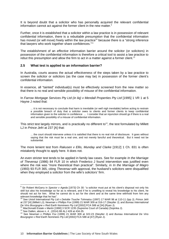It is beyond doubt that a solicitor who has personally acquired the relevant confidential information cannot act against the former client in the new matter.<sup>9</sup>

Further, once it is established that a solicitor within a law practice is in possession of relevant confidential information, there is a *rebuttable presumption* that the confidential information has moved (or will move) freely within the law practice<sup>10</sup> because there is a "strong inference that lawyers who work together share confidences."<sup>11</sup>

The establishment of an *effective* information barrier around the solicitor (or solicitors) in possession of the confidential information is therefore a critical tool to assist a law practice to rebut this presumption and allow the firm to act in a matter against a former client.<sup>12</sup>

# **2.5 What test is applied to an information barrier?**

In Australia, courts assess the actual *effectiveness* of the steps taken by a law practice to screen the solicitor or solicitors (as the case may be) in possession of the former client's confidential information.

In essence, all "tainted" individual(s) must be effectively screened from the new matter so that there is no real and sensible possibility of misuse of the confidential information.

In *Farrow Mortgage Services Pty Ltd (in liq) v Mendall Properties Pty Ltd* [1995] 1 VR 1 at 5 Hayne J noted that:

... it is not necessary to conclude that harm is inevitable (or well nigh inevitable) before acting to restrain a possible breach of duty that a solicitor owes to clients and former clients to keep confidential information given to the solicitor in confidence ... I consider that an injunction should go if there is a real and sensible possibility of a misuse of confidential information.

This strict test largely mirrors, and is practically no different to<sup>13</sup>, the test formulated by Millett LJ in *Prince Jefri* at 237 [A] that:

... the court should intervene unless it is satisfied that there is no real risk of disclosure. It goes without saying that the risk must be a real one, and not merely fanciful and theoretical. But it need not be substantial.

The more lenient test from *Rakusen v Ellis, Munday and Clarke* [1912] 1 Ch. 831 is often mistakenly thought to apply here. It does not.

An even stricter test tends to be applied in family law cases. See for example *In the Marriage of Thevenaz* (1986) 84 FLR 10 in which Frederico J found intervention was justified even where the risk was "more theoretical than practical". Similarly, in *In the Marriage of Magro* (1993) 93 FLR 365, citing *Thevenaz* with approval, the husband's solicitors were disqualified when they employed a solicitor from the wife's solicitors' firm.

<sup>9</sup> Sir Robert McGarry in *Spector v Ageda* [1973] Ch 30*:* "a solicitor must put at his client's disposal not only his skill but also his knowledge so far as is relevant, and if he is unwilling to reveal his knowledge to his client, he should not act for him. What he cannot do is act for the client and at the same time withhold from him any relevant knowledge that he has".

<sup>10</sup> See *Unioil International Pty Ltd v Deloitte Touche Tohmatsu* (1997) 17 WAR 98 at 110-11 (Ipp J); *Prince Jefri* at 237 [H] (Millett LJ); *Newman v Phillips Fox* (1999) 21 WAR 309 at 316-17 (Steytler J); and *Bureau International De Vins Bourgogne v Red Earth Nominees Pty Ltd* [2002] FCA 588 at [34] (Ryan J).

<sup>11</sup> *MacDonald Estate v Martin* [1990] 3 SCR 1235 (Supreme Court of Canada) (Sopinka J).

<sup>12</sup> See Dallen, above n. 4, (2014) 88 ALJ 428 at 434-35.

<sup>13</sup> See *Newman v Phillips Fox* (1999) 21 WAR 309 at 322-23 (Steytler J) and *Bureau International De Vins Bourgogne v Red Earth Nominees Pty Ltd* [2002] FCA 588 at [47] (Ryan J).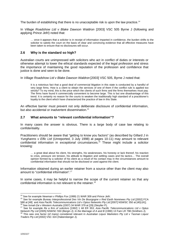The burden of establishing that there is no unacceptable risk is upon the law practice.<sup>14</sup>

In *Village Roadshow Ltd v Blake Dawson Waldron* [2003] VSC 505 Byrne J (following and applying *Prince Jefri*) noted that:

… once it appears that a solicitor is in receipt of information imparted in confidence, the burden shifts to the solicitor to satisfy the court on the basis of clear and convincing evidence that all effective measures have been taken to ensure that no disclosures will occur.

## **2.6 Why is the standard so high?**

Australian courts are unimpressed with solicitors who act in conflict of duties or interests or otherwise attempt to lower the ethical standards expected of the legal profession and stress the importance of maintaining the good reputation of the profession and confidence that justice is done and seen to be done.

In *Village Roadshow Ltd v Blake Dawson Waldron* [2003] VSC 505, Byrne J noted that:

It is a notorious fact that a good deal of commercial litigation in this state is conducted by a handful of very large firms. How is a client to obtain the services of one of them if the conflict rule is applied too strictly? To my mind, this is the price which the clients of such firms and the firms themselves must pay. The firms have found it commercially convenient to become large. This is but one disadvantage of this trend. It is certainly no reason for the courts to weaken the traditionally high standard of a practitioner's loyalty to the client which have characterized the practice of law in this State.

An effective barrier must prevent not only deliberate disclosure of confidential information, but also accidental or inadvertent dissemination.<sup>15</sup>

#### **2.7 What amounts to "relevant confidential information"?**

In many cases the answer is obvious. There is a large body of case law relating to confidentiality.

Practitioners should be aware that "getting to know you factors" (as described by Gillard J in *Yunghanns v Elfic Ltd* (Unreported, 3 July 1998) at pages 10-11) may amount to relevant confidential information in *exceptional* circumstances.<sup>16</sup> These might include a solicitor knowing:

… a great deal about his client, his strengths, his weaknesses, his honesty or lack thereof, his reaction to crisis, pressure ore tension, his attitude to litigation and settling cases and his tactics… The overall opinion formed by a solicitor of his client as a result of his contact may in the circumstances amount to confidential information that should not be disclosed or used against the client.

Information obtained during an earlier retainer from a source other than the client may also amount to "confidential information".<sup>17</sup>

In some cases, it may be helpful to narrow the scope of the current retainer so that any confidential information is not relevant to the retainer.<sup>18</sup>

<sup>14</sup> See for example *Newman v Phillips Fox* (1999) 21 WAR 309 and *Prince Jefri*.

<sup>15</sup> See for example *Bureau Interprofessional Des Vin De Bourgogne v Red Earth Nominees Pty Ltd* [2002] FCA 588 at [48] and *Asia Pacific Telecommunications Ltd v Optus Networks Pty Ltd* [2007] NSWSC 350 at [40]-[41]. <sup>16</sup> See *Ismail-Zai v Western Australia* (2007) 34 WAR 379 at [29] (Steytler P).

<sup>17</sup> See for example *Re a firm of solicitors* [1992] 1 All ER 353; *Asia Pacific Telecommunications Ltd v Optus Network Pty Ltd* [2005] NSWSC 550 (Bergin J); *In the Marriage of A and B* (1990) 13 Fam LR 798 (Smithers J).

<sup>18</sup> This was one factor (of many) considered relevant in *Australian Liquor Marketers Pty Ltd v Tasman Liquor Traders Pty Ltd* [2002] VSC 324 (Habersberger J).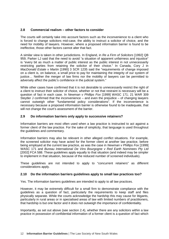# **2.8 Commercial realism – other factors to consider**

The courts will certainly take into account factors such as the inconvenience to a client who is forced to change solicitors mid-case, the ability to instruct a solicitor of choice, and the need for mobility of lawyers. However, where a proposed information barrier is found to be ineffective, those other factors cannot alter that fact.

A similar view is taken in other jurisdictions. In England, in *Re a Firm of Solicitors* [1992] QB 959, Parker LJ said that the need to avoid "a situation of apparent unfairness and injustice" is "every bit as much a matter of public interest as the public interest in not unnecessarily restricting parties from retaining the solicitor of their choice." In Canada, Cory J in *MacDonald Estate v Martin* [1990] 3 SCR 1235 said the "requirements of change imposed on a client is, on balance, a small price to pay for maintaining the integrity of our system of justice… Neither the merger of law firms nor the mobility of lawyers can be permitted to adversely affect the public's confidence in the judicial system."

While other cases have confirmed that it is not desirable to *unnecessarily* restrict the right of a client to instruct their solicitor of choice, whether or not that restraint is necessary will be a question of fact in each case. In *Newman v Phillips Fox* [1999] WASC 171; 21 WAR 309 Steytler J confirmed that the inconvenience – and even the prejudice – of changing lawyers cannot outweigh other "fundamental policy considerations". If the inconvenience is necessary because a proposed information barrier is otherwise found to be inadequate, that will not change the court's assessment of the barrier.

# **2.9 Do information barriers only apply to successive retainers?**

Information barriers are most often used when a law practice is instructed to act against a former client of the law practice. For the sake of simplicity, that language is used throughout the guidelines and commentary.

Information barriers may also be relevant in other alleged conflict situations. For example, the screened solicitor may have acted for the former client at another law practice, before being employed at the current law practice, as was the case in *Newman v Phillips Fox* [1999] WASC 171 and *Bureau International De Vins Bourgogne v Red Earth Nominees Pty Ltd* [2002] FCA 588. These guidelines apply equally to that situation (and indeed may be simpler to implement in that situation, because of the reduced number of screened individuals).

These guidelines are not intended to apply to "concurrent retainers" as different considerations apply.

# **2.10 Do the information barriers guidelines apply to small law practices too?**

Yes. The information barriers guidelines are intended to apply to all law practices.

However, it may be extremely difficult for a small firm to demonstrate compliance with the guidelines as a question of fact, particularly the requirements to keep staff and files physically separate. While the courts acknowledge the hardship this may cause for litigants, particularly in rural areas or in specialised areas of law with limited numbers of practitioners, that hardship is but one factor and it does not outweigh the importance of confidentiality.

Importantly, as set out above (see section 2.4), whether there are any solicitors within a law practice in possession of confidential information of a former client is a question of fact which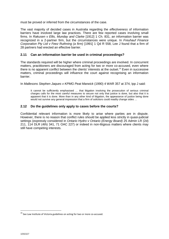must be proved or inferred from the circumstances of the case.

The vast majority of decided cases in Australia regarding the *effectiveness* of information barriers have involved large law practices. There are few reported cases involving small firms. In *Rakusen v Ellis, Munday and Clarke* [1912] 1 Ch. 831, an information barrier was recognized in a 2-partner firm, but the circumstances were unique. In *Freuhauf Finance Corporation Pty Ltd v Feez Ruthning (a firm)* [1991] 1 Qd R 558, Lee J found that a firm of 28 partners had erected an effective barrier.

# **2.11 Can an information barrier be used in criminal proceedings?**

The standards required will be higher where criminal proceedings are involved. In concurrent matters, practitioners are discouraged from acting for two or more co-accused, even where there is no apparent conflict between the clients' interests at the outset.<sup>19</sup> Even in successive matters, criminal proceedings will influence the court against recognising an information barrier.

In *Mallesons Stephen Jaques v KPMG Peat Marwick* (1990) 4 WAR 357 at 374, Ipp J said:

It cannot be sufficiently emphasised ... that litigation involving the prosecution of serious criminal charges calls for the most careful measures to secure not only that justice is done, but also that it is apparent that it is done. More than in any other kind of litigation, the appearance of justice being done would not survive any general impression that a firm of solicitors could readily change sides ...

# **2.12 Do the guidelines only apply to cases before the courts?**

Confidential relevant information is more likely to arise where parties are in dispute. However, there is no reason that conflict rules should be applied less strictly in quasi-judicial settings (expressly considered in *Ontario Hydro v Ontario (Energy Board)* 25 Admin LR (2d) 211, 114 DLR (4th) 341, 71 OAC 227) or indeed in non-litigious matters where clients may still have competing interests.

 $19$  See Law Institute of Victoria guidelines on acting for two or more co-accused.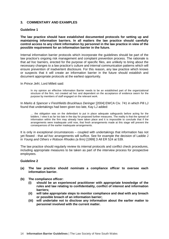# **3. COMMENTARY AND EXAMPLES**

### **Guideline 1**

**The law practice should have established documented protocols for setting up and maintaining information barriers. In all matters the law practice should carefully control access to any client information by personnel in the law practice in view of the possible requirement for an information barrier in the future.**

Internal information barrier protocols which incorporate the guidelines should be part of the law practice's ongoing risk management and complaint prevention process. The rationale is that *ad hoc* barriers, erected for the purpose of specific files, are unlikely to bring about the necessary changes to a law practice's culture and internal communication patterns which will ensure prevention of inadvertent disclosure. For this reason, any law practice which knows or suspects that it will create an information barrier in the future should establish and document appropriate protocols at the earliest opportunity.

In *Prince Jefri*, Lord Millett said:

In my opinion an effective Information Barrier needs to be an established part of the organizational structure of the firm, not created ad hoc and dependent on the acceptance of evidence sworn for the purpose by members of staff engaged on the relevant work.

In *Marks & Spencer v Freshfields Bruckhaus Deringer* [2004] EWCA Civ. 741 in which Pill LJ found that undertakings had been given too late, Kay LJ added:

… the obligation was on the defendant to put in place adequate safeguards before acting for the bidders. I view it as far too late in the day for proposed further measures. The reality is that the spread of information within the firm may already have taken place and it is impossible to conclude that if the arrangements were inadequate until now, that fresh arrangements made at this stage will prevent the consequences of the earlier inadequate arrangements.

It is only in exceptional circumstances – coupled with undertakings that information has not yet flowed - that *ad hoc* arrangements will suffice. See for example the decision of Laddie J in *Young and Others v Robson Rhodes (a firm)* [1999] 3 All ER 524 at 539.

The law practice should regularly review its internal protocols and conflict check procedures, including appropriate measures to be taken as part of the interview process for prospective employees.

#### **Guideline 2**

- **(a) The law practice should nominate a compliance officer to oversee each information barrier.**
- **(b) The compliance officer:**
	- **(i) should be an experienced practitioner with appropriate knowledge of the rules and law relating to confidentiality, conflict of interest and information barriers;**
	- **(ii) will take appropriate steps to monitor compliance and deal with any breach or possible breach of an information barrier;**
	- **(iii) will undertake not to disclose any information about the earlier matter to personnel involved with the current matter.**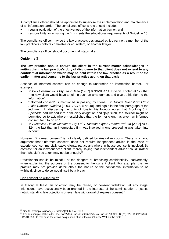A compliance officer should be appointed to supervise the implementation and maintenance of an information barrier. The compliance officer's role should include:

- regular evaluation of the effectiveness of the information barrier; and
- responsibility for ensuring the firm meets the educational requirements of Guideline 10.

The compliance officer may be the law practice's designated ethics partner, a member of the law practice's conflicts committee or equivalent, or another lawyer.

The compliance officer should document all steps taken.

#### **Guideline 3**

**The law practice should ensure the client in the current matter acknowledges in writing that the law practice's duty of disclosure to that client does not extend to any confidential information which may be held within the law practice as a result of the earlier matter and consents to the law practice acting on that basis.**

Absence of informed consent can be enough to undermine an information barrier. For example:

- In *D&J Constructions Pty Ltd v Head* (1987) 9 NSWLR 11, Bryson J noted at 122 that "the new client would have to join in such an arrangement and give up his right to the information".
- "Informed consent" is mentioned in passing by Byrne J in *Village Roadshow Ltd v Blake Dawson Waldron* [2003] VSC 505 at [40], and again in the final paragraph of the judgment. In discussing the duty of loyalty, his Honour notes that Brooking J in *Spincode* had likened it to a fiduciary obligation and "[a]s such, the solicitor might be permitted so to act, where it establishes that the former client has given an informed consent for it to do so."
- In *Australian Liquor Marketers Pty Ltd v Tasman Liquor Traders Ptd Ltd* [2002] VSC 324, the fact that an intermediary firm was involved in one proceeding was taken into account.

However, "informed consent" is not clearly defined by Australian courts. There is a good argument that "informed consent" does not require independent advice in the case of experienced, commercially savvy clients, particularly where in-house counsel is involved. By contrast, for an inexperienced client, merely saying that independent advice "could" (rather than "should") be taken may not be enough.<sup>20</sup>

Practitioners should be mindful of the dangers of breaching confidentiality inadvertently, when explaining the purpose of the consent to the current client. For example, the law practice may not provide detail about the nature of the confidential information to be withheld, since to do so would itself be a breach.

#### Can consent be withdrawn?

In theory at least, an objection may be raised, or consent withdrawn, at any stage. Injunctions have occasionally been granted in the interests of the administration of justice notwithstanding late objections or even late withdrawal of express consent.<sup>21</sup>

<sup>20</sup> See for example *Mahoney v Purnell* [1996] 3 All ER 61.

<sup>21</sup> For an example of the latter, see *Carol Ann Hudson v Gilbert David Hudson* 10 Alta LR (3d) 322, 16 CPC (3d), 142 AR 236. In that case there was no question of an effective Chinese Wall on the facts.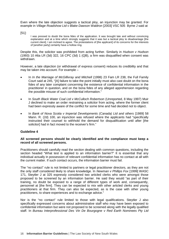Even where the late objection suggests a tactical ploy, an injunction may be granted. For example in *Village Roadshow Ltd v Blake Dawson Waldron* [2003] VSC 505 Byrne J said at

[51]:

I was pressed to doubt the bona fides of the application. It was brought late and without convincing explanation and at a time which strongly suggests that it was but a tactical ploy to disadvantage [the current client]. I am inclined to agree. The protestations of [the applicant] of its concerns for the interests of [another party] certainly have a hollow ring.

Despite this, the solicitor was prohibited from acting further. Similarly in *Hudson v Hudson* (1993) 10 Alta LR (3d) 322, 16 CPC (3d) 1 (QB), a firm was disqualified when consent was withdrawn.

However, a late objection (or withdrawal of express consent) reduces its credibility and that may be taken into account. For example –

- In *In the Marriage of McGillivray and Mitchell* (1998) 23 Fam LR 238, the Full Family Court said at 245, "[A] failure to take the point initially must also cast doubt on the bona fides of any later complaint concerning the existence of confidential information in the practitioner in question, and on the bona fides of any alleged apprehension regarding the possible misuse of such confidential information."
- In *South Black Water Coal Ltd v McCulloch Robertson* (Unreported, 8 May 1997) Muir J declined to make an order restraining a solicitor from acting, where the former client had been expressly aware of the conflict for some time and had decided not to object.
- In *Bank of Nova Scotia v Imperial Developments (Canada) Ltd and others* [1989] 58 Mann. R. (2d) 100, an injunction was refused where the applicants had "specifically instructed their counsel to withhold the demand for disqualification until after [the solicitor] had in fact moved to the receiver's firm."

# **Guideline 4**

#### **All screened persons should be clearly identified and the compliance must keep a record of all screened persons.**

Practitioners should carefully read the section dealing with common questions, including the section headed "What test is applied to an information barrier?" It is essential that any individual actually in possession of relevant confidential information has no contact at all with the current matter. If such contact occurs, the information barrier must fail.

The "no contact" rule is not limited to partners or legal practitioner directors, as they are not the only staff considered likely to share knowledge. In *Newman v Phillips Fox* [1999] WASC 171, Steytler J at 325 expressly considered two articled clerks who were amongst those proposed to be screened by an information barrier. He said they would "as part of their training, no doubt be exposed to a range of different types of work and, consequently, personnel at [the firm]. They can be expected to mix with other articled clerks and young practitioners at that firm. They can also be expected, as is the case with other young practitioners, to share experiences and to exchange advice."

Nor is the "no contact" rule limited to those with legal qualifications. Steytler J also specifically expressed concerns about administrative staff who may have been exposed to confidential information but were not proposed to be screened along with the legally qualified staff. In *Bureau Interprofessional Des Vin De Bourgogne v Red Earth Nominees Pty Ltd*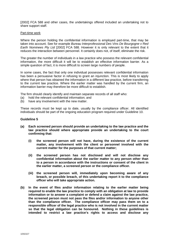[2002] FCA 588 and other cases, the undertakings offered included an undertaking not to share support staff.

#### Part-time work

Where the person holding the confidential information is employed part-time, that may be taken into account. See for example *Bureau Interprofessional Des Vins De Bourgogne v Red Earth Nominees Pty Ltd* [2002] FCA 588*.* However it is only relevant to the extent that it reduces the interaction between personnel. It certainly does not, of itself, eliminate the risk.

The greater the number of individuals in a law practice who possess the relevant confidential information, the more difficult it will be to establish an effective information barrier. As a simple question of fact, it is more difficult to screen large numbers of people.

In some cases, the fact that only one individual possesses relevant confidential information has been a persuasive factor in refusing to grant an injunction. This is most likely to apply where that person has obtained the information in a different law practice, before transferring to the current law practice. Where the earlier matter was handled by the current firm, an information barrier may therefore be more difficult to establish.

The firm should clearly identify and maintain separate records of all staff who:

- (a) hold the relevant confidential information; and
- (b) have any involvement with the new matter.

These records must be kept up to date, usually by the compliance officer. All identified individuals should be part of the ongoing education program required under Guideline 10.

#### **Guideline 5**

- **(a) Each screened person should provide an undertaking to the law practice and the law practice should where appropriate provide an undertaking to the court confirming that:**
	- **(i) the screened person will not have, during the existence of the current matter, any involvement with the client or personnel involved with the current matter for the purposes of that current matter;**
	- **(ii) the screened person has not disclosed and will not disclose any confidential information about the earlier matter to any person other than to a person in accordance with the instructions or consent of the client in the earlier matter, a screened person or the compliance officer.**
	- **(iii) the screened person will, immediately upon becoming aware of any breach, or possible breach, of this undertaking report it to the compliance officer who will take appropriate action.**
- **(b) In the event of files and/or information relating to the earlier matter being required to enable the law practice to comply with an obligation at law to provide information or to answer a complaint or defend a claim against the law practice, the screened person must not pass the files and/or information to anyone other than the compliance officer. The compliance officer may pass them on to a responsible officer of the legal practice who is not involved in the current matter so that the legal obligation can be honoured. Nothing in these guidelines is intended to restrict a law practice's rights to access and disclose any**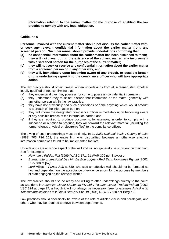**information relating to the earlier matter for the purpose of enabling the law practice to comply with any legal obligation.**

# **Guideline 6**

**Personnel involved with the current matter should not discuss the earlier matter with, or seek any relevant confidential information about the earlier matter from, any screened person. Such personnel should provide undertakings confirming that:**

- **(a) no confidential information about the earlier matter has been disclosed to them;**
- **(b) they will not have, during the existence of the current matter, any involvement with a screened person for the purposes of the current matter;**
- **(c) they will not seek or receive any confidential information about the earlier matter from a screened person or in any other way; and**
- **(d) they will, immediately upon becoming aware of any breach, or possible breach of this undertaking report it to the compliance officer who will take appropriate action.**

The law practice should obtain timely, written undertakings from all screened staff, whether legally qualified or not, confirming that:

- (a) they understand they may possess (or come to possess) confidential information;
- (b) they understand they must not discuss that information or the matter generally with any other person within the law practice;
- (c) they have not previously had such discussions or done anything which would amount to a breach of the information barrier;
- (d) they will inform the designated compliance officer immediately upon becoming aware of any possible breach of the information barrier; and
- (e) if they are required to produce documents, for example, in order to comply with a subpoena or a notice to produce, they will forward the relevant material (including the former client's physical or electronic files) to the compliance officer.

The giving of such undertakings must be timely. In *La Salle National Bank v County of Lake* (1983) 703 F2d 252, the entire firm was disqualified because an otherwise effective information barrier was found to be implemented too late.

Undertakings are only one aspect of the wall and will not generally be sufficient on their own. See for example:-

- *Newman v Phillips Fox* [1999] WASC 171; 21 WAR 309 per Steytler J;
- *Bureau Interprofessional Des Vin De Bourgogne v Red Earth Nominees Pty Ltd* [2002] FCA 588 at [57];
- *Lord* Millett in *Prince Jefri* at 530, who said an effective wall should not be "created ad hoc and dependent on the acceptance of evidence sworn for the purpose by members of staff engaged on the relevant work."

The law practice should also be ready and willing to offer undertakings directly to the court, as was done in *Australian Liquor Marketers Pty Ltd v Tasman Liquor Traders Ptd Ltd* [2002] VSC 324 at page 27, although it will not always be necessary (see for example *Asia Pacific Telecommunications Ltd v Optus Network Pty Ltd* [2005] NSWSC 550 per Bergin J).

Law practices should specifically be aware of the role of articled clerks and paralegals, and others who may be required to move between departments.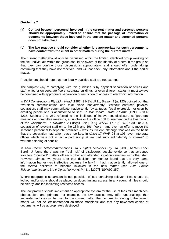# **Guideline 7**

**(a) Contact between personnel involved in the current matter and screened persons should be appropriately limited to ensure that the passage of information or documents between those involved in the current matter and screened persons does not take place.**

#### **(b) The law practice should consider whether it is appropriate for such personnel to have contact with the client in other matters during the current matter.**

The current matter should only be discussed within the limited, identified group working on the file. Individuals within the group should be aware of the identity of others in the group so that they can confine those discussions appropriately, and should offer undertakings confirming that they have not received, and will not seek, any information about the earlier matter.

Practitioners should note that non-legally qualified staff are not exempt.

The simplest way of complying with this guideline is by physical separation of offices and staff, whether on separate floors, separate buildings, or even different states. It must always be combined with appropriate separation or restriction of access to electronic information.

In *D&J Constructions Pty Ltd v Head* (1987) 9 NSWLR11, Bryson J (at 123) pointed out that "wordless communication can take place inadvertently". Without enforced physical separation, staff may communicate inadvertently "by attitudes, facial expression or even by avoiding people one is accustomed to see". In *MacDonald Estate v Martin* [1990] 3 SCR 1235, Sopinka J at 269 referred to the likelihood of inadvertent disclosure at "partners' meetings or committee meetings, at lunches or the office golf tournament, in the boardroom or the washroom". In *Newman v Phillips Fox* [1999] WASC 171; 21 WAR 309 at 314, separation of relevant staff on to the 18th and 19th floors – and even an offer to move the screened personnel to separate premises – was insufficient, although that was on the basis that the separation had taken place too late. In *Unioil* 17 WAR 98 at 105, even interstate offices which were not in fact a partnership at law had sufficient "identity of interest" to warrant a finding of conflict.

In *Asia Pacific Telecommunications Ltd v Optus Networks Pty Ltd* [2005] NSWSC 550 Bergin J found there was no "real risk" of disclosure, despite evidence that screened solicitors "bounced" matters off each other and attended litigation seminars with other staff. However, almost two years after that decision her Honour found that the very same information barrier was ineffective because the law firm had, inadvertently, allowed one of the *tainted* solicitors to become involved in the new matter (see *Asia Pacific Telecommunications Ltd v Optus Networks Pty Ltd* [2007] NSWSC 350).

Where geographic separation is not possible, offices containing relevant files should be locked and/or signs should be placed on doors limiting access. In any event, all files should be clearly labelled indicating restricted access.

The law practice should implement an appropriate system for the use of facsimile machines, photocopiers and printers. For example, the law practice may offer undertakings that separate machines will be used for the current matter; that documents relating to the current matter will not be left unattended on those machines; and that any unwanted copies of documents will be appropriately destroyed.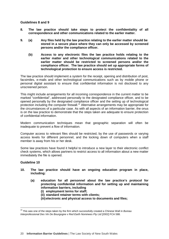### **Guidelines 8 and 9**

- **8. The law practice should take steps to protect the confidentiality of all correspondence and other communications related to the earlier matter.**
- **9. (a) Any files held by the law practice relating to the earlier matter should be stored in a secure place where they can only be accessed by screened persons and/or the compliance officer.**
	- **(b) Access to any electronic files the law practice holds relating to the earlier matter and other technological communications related to the earlier matter should be restricted to screened persons and/or the compliance officer. The law practice should set up appropriate forms of technological protection to ensure access is restricted.**

The law practice should implement a system for the receipt, opening and distribution of post, facsimiles, e-mails and other technological communications such as by mobile phone or personal digital assistant to ensure that confidential information is not disclosed to any unscreened person.

This might include arrangements for all incoming correspondence in the current matter to be marked "confidential", addressed personally to the designated compliance officer, and to be opened personally by the designated compliance officer and the setting up of technological protection including the computer firewall.<sup>22</sup> Alternative arrangements may be appropriate for the circumstances of a particular case. As with all aspects of an information barrier, the onus is on the law practice to demonstrate that the steps taken are adequate to ensure protection of confidential information.

Modern communication techniques mean that geographic separation will often be inadequate to prevent a flow of information.

Computer access to relevant files should be restricted, by the use of passwords or varying access levels for different personnel, and the locking down of computers when a staff member is away from his or her desk.

Some law practices have found it helpful to introduce a new layer to their electronic conflict check systems, which allows partners to restrict access to all information about a new matter immediately the file is opened.

# **Guideline 10**

- **10. The law practice should have an ongoing education program in place, including:**
	- **(a) education for all personnel about the law practice's protocol for protecting confidential information and for setting up and maintaining information barriers, including**
		- **(i) employment terms for staff;**
		- **(ii) standard retainer terms with clients;**
		- **(iii)electronic and physical access to documents and files;**

<sup>22</sup> This was one of the steps taken by the firm which successfully created a Chinese Wall in *Bureau Interprofessional Des Vin De Bourgogne v Red Earth Nominees Pty Ltd* [2002] FCA 588.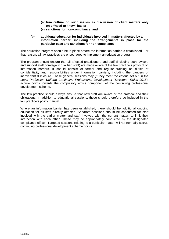- **(iv)firm culture on such issues as discussion of client matters only on a "need to know" basis;**
- **(v) sanctions for non-compliance; and**
- **(b) additional education for individuals involved in matters affected by an information barrier, including the arrangements in place for the particular case and sanctions for non-compliance.**

The education program should be in place before the information barrier is established. For that reason, all law practices are encouraged to implement an education program.

The program should ensure that all affected practitioners and staff (including both lawyers and support staff non-legally qualified staff) are made aware of the law practice's protocol on information barriers. It should consist of formal and regular training on duties of confidentiality and responsibilities under information barriers, including the dangers of inadvertent disclosure. These general sessions may (if they meet the criteria set out in the *Legal Profession Uniform Continuing Professional Development (Solicitors) Rules 2015*), accrue points towards the compulsory ethics component of the continuing professional development scheme.

The law practice should always ensure that new staff are aware of the protocol and their obligations. In addition to educational sessions, these should therefore be included in the law practice's policy manual.

Where an information barrier has been established, there should be additional ongoing education for all staff directly affected. Separate sessions should be conducted for staff involved with the earlier matter and staff involved with the current matter, to limit their interaction with each other. These may be appropriately conducted by the designated compliance officer. Targeted sessions relating to a particular matter will not normally accrue continuing professional development scheme points.